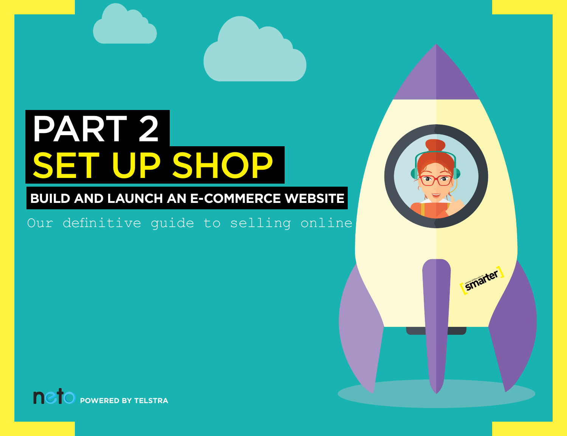# PART 2 SET UP SHOP

# **BUILD AND LAUNCH AN E-COMMERCE WEBSITE**

Our definitive guide to selling online



**[**

*<u>smarter</u>* 

**[P](http://www.neto.com.au)OWERED BY TELSTRA**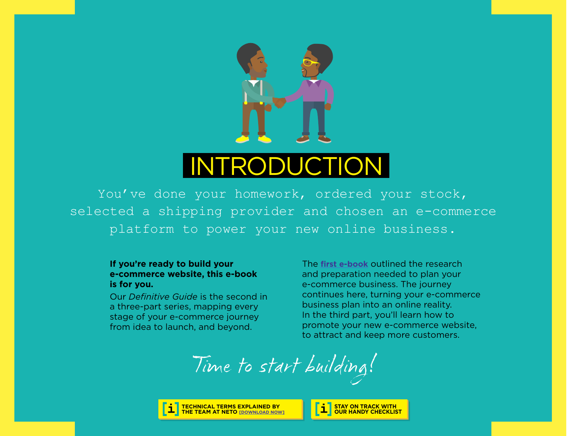

# INTRODUCTION

You've done your homework, ordered your stock, selected a shipping provider and chosen an e-commerce platform to power your new online business.

#### **If you're ready to build your e-commerce website, this e-book is for you.**

Our *Definitive Guide* is the second in a three-part series, mapping every stage of your e-commerce journey from idea to launch, and beyond.

The **[first e-book](http://www.smarterbusiness.telstra.com.au/talkingshop)** outlined the research and preparation needed to plan your e-commerce business. The journey continues here, turning your e-commerce business plan into an online reality. In the third part, you'll learn how to promote your new e-commerce website, to attract and keep more customers.

Time to start building!



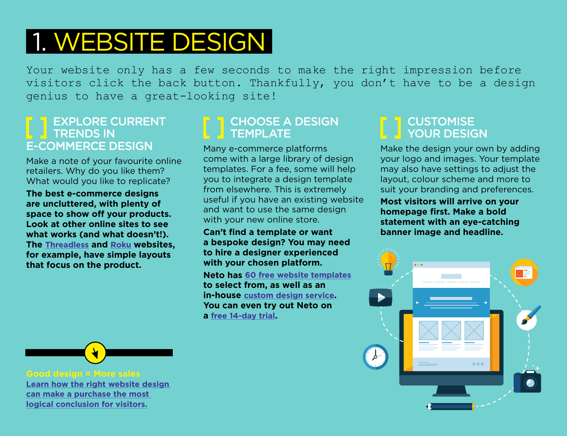# 1. WEBSITE DESIGN

Your website only has a few seconds to make the right impression before visitors click the back button. Thankfully, you don't have to be a design genius to have a great-looking site!

### EXPLORE CURRENT **TRENDS IN** E-COMMERCE DESIGN

Make a note of your favourite online retailers. Why do you like them? What would you like to replicate?

**The best e-commerce designs are uncluttered, with plenty of space to show off your products. Look at other online sites to see what works (and what doesn't!). The [Threadless](https://www.threadless.com/) and [Roku](https://www.roku.com/) websites, for example, have simple layouts that focus on the product.**

# CHOOSE A DESIGN **TEMPLATE**

Many e-commerce platforms come with a large library of design templates. For a fee, some will help you to integrate a design template from elsewhere. This is extremely useful if you have an existing website and want to use the same design with your new online store.

#### **Can't find a template or want a bespoke design? You may need to hire a designer experienced with your chosen platform.**

**Neto has [60 free website templates](https://www.neto.com.au/website-templates?tel=y) to select from, as well as an in-house [custom design service.](https://www.neto.com.au/website-design?tel=y) You can even try out Neto on a [free 14-day trial](https://marketplace.telstra.com/apps/741#!overview).**

### **CUSTOMISE** YOUR DESIGN

Make the design your own by adding your logo and images. Your template may also have settings to adjust the layout, colour scheme and more to suit your branding and preferences.

**Most visitors will arrive on your homepage first. Make a bold statement with an eye-catching banner image and headline.**





**[Learn how the right website design](https://www.neto.com.au/discover-the-best-techniques-for-your-ecommerce-website?tel=y)  [can make a purchase the most](https://www.neto.com.au/discover-the-best-techniques-for-your-ecommerce-website?tel=y)  [logical conclusion for visitors.](https://www.neto.com.au/discover-the-best-techniques-for-your-ecommerce-website?tel=y)**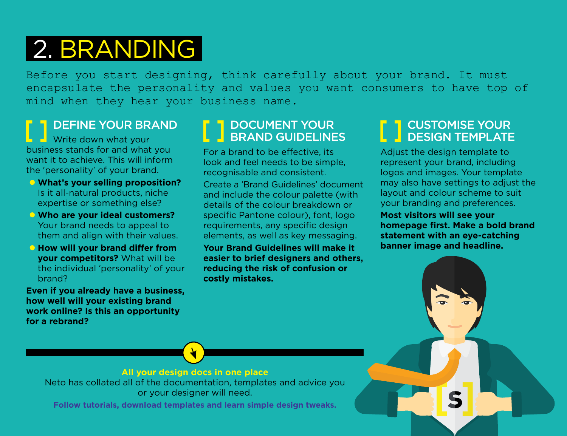# 2. BRANDING

Before you start designing, think carefully about your brand. It must encapsulate the personality and values you want consumers to have top of mind when they hear your business name.

# DEFINE YOUR BRAND

 $\blacksquare$  Write down what your business stands for and what you want it to achieve. This will inform the 'personality' of your brand.

- **al What's your selling proposition?** Is it all-natural products, niche expertise or something else?
- $\bullet$  **Who are your ideal customers?** Your brand needs to appeal to them and align with their values.
- **Example 3 How will your brand differ from your competitors?** What will be the individual 'personality' of your brand?

**Even if you already have a business, how well will your existing brand work online? Is this an opportunity for a rebrand?**

# DOCUMENT YOUR BRAND GUIDELINES

For a brand to be effective, its look and feel needs to be simple, recognisable and consistent.

Create a 'Brand Guidelines' document and include the colour palette (with details of the colour breakdown or specific Pantone colour), font, logo requirements, any specific design elements, as well as key messaging.

**Your Brand Guidelines will make it easier to brief designers and others, reducing the risk of confusion or costly mistakes.**

# CUSTOMISE YOUR DESIGN TEMPLATE

Adjust the design template to represent your brand, including logos and images. Your template may also have settings to adjust the layout and colour scheme to suit your branding and preferences.

**Most visitors will see your homepage first. Make a bold brand statement with an eye-catching banner image and headline.**

#### **All your design docs in one place**

Neto has collated all of the documentation, templates and advice you or your designer will need.

**[Follow tutorials, download templates and learn simple design tweaks.](https://www.neto.com.au/designer-documentation/?tel=y)**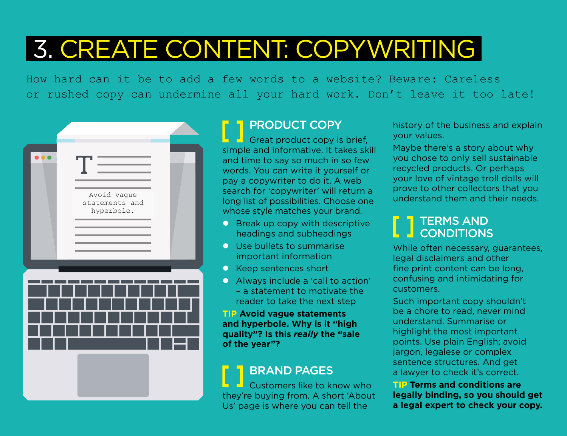# 3. CREATE CONTENT: COPYWRITING

How hard can it be to add a few words to a website? Beware: Careless or rushed copy can undermine all your hard work. Don't leave it too late!



# PRODUCT COPY

 $\Box$  Great product copy is brief, simple and informative. It takes skill and time to say so much in so few words. You can write it yourself or pay a copywriter to do it. A web search for 'copywriter' will return a long list of possibilities. Choose one whose style matches your brand.

- $\bullet$  Break up copy with descriptive headings and subheadings
- **Q** Use bullets to summarise important information
- $\bullet$  Keep sentences short
- **•** Always include a 'call to action' – a statement to motivate the reader to take the next step

#### **TIP Avoid vague statements and hyperbole. Why is it "high quality"? Is this** *really* **the "sale of the year"?**

# BRAND PAGES

Customers like to know who they're buying from. A short 'About Us' page is where you can tell the

history of the business and explain your values.

Maybe there's a story about why you chose to only sell sustainable recycled products. Or perhaps your love of vintage troll dolls will prove to other collectors that you understand them and their needs.

# TERMS AND **CONDITIONS**

While often necessary, guarantees, legal disclaimers and other fine print content can be long, confusing and intimidating for customers.

Such important copy shouldn't be a chore to read, never mind understand. Summarise or highlight the most important points. Use plain English; avoid jargon, legalese or complex sentence structures. And get a lawyer to check it's correct.

**TIP Terms and conditions are legally binding, so you should get a legal expert to check your copy.**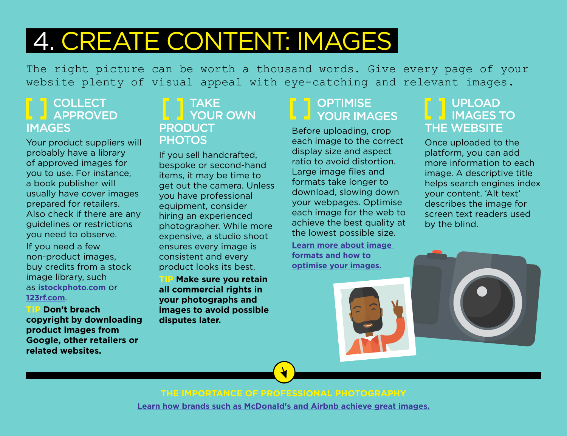# 4. CREATE CONTENT: IMAGES

The right picture can be worth a thousand words. Give every page of your website plenty of visual appeal with eye-catching and relevant images.

### **COLLECT APPROVED** IMAGES

Your product suppliers will probably have a library of approved images for you to use. For instance, a book publisher will usually have cover images prepared for retailers. Also check if there are any guidelines or restrictions you need to observe.

If you need a few non-product images, buy credits from a stock image library, such as **[istockphoto.com](http://www.istockphoto.com/)** or **[123rf.com](http://www.123rf.com/)**.

**TIP Don't breach copyright by downloading product images from Google, other retailers or related websites.** 

#### TAKE **L** YOUR OWN PRODUCT **PHOTOS**

If you sell handcrafted, bespoke or second-hand items, it may be time to get out the camera. Unless you have professional equipment, consider hiring an experienced photographer. While more expensive, a studio shoot ensures every image is consistent and every product looks its best.

**TIP Make sure you retain all commercial rights in your photographs and images to avoid possible disputes later.**

# **OPTIMISE YOUR IMAGES**

Before uploading, crop each image to the correct display size and aspect ratio to avoid distortion. Large image files and formats take longer to download, slowing down your webpages. Optimise each image for the web to achieve the best quality at the lowest possible size. **[Learn more about image](https://www.neto.com.au/article/how-do-i-optimise-the-images-on-my-website?tel=y)  [formats and how to](https://www.neto.com.au/article/how-do-i-optimise-the-images-on-my-website?tel=y)  [optimise your images.](https://www.neto.com.au/article/how-do-i-optimise-the-images-on-my-website?tel=y)**

### UPLOAD **INAGES TO** THE WEBSITE

Once uploaded to the platform, you can add more information to each image. A descriptive title helps search engines index your content. 'Alt text' describes the image for screen text readers used by the blind.



**THE IMPORTANCE OF PROFESSIONAL PHOTOGRAPHY [Learn how brands such as McDonald's and Airbnb achieve great images.](https://www.neto.com.au/n/the-importance-of-using-professional-photography/737#_ftn1?tel=y)**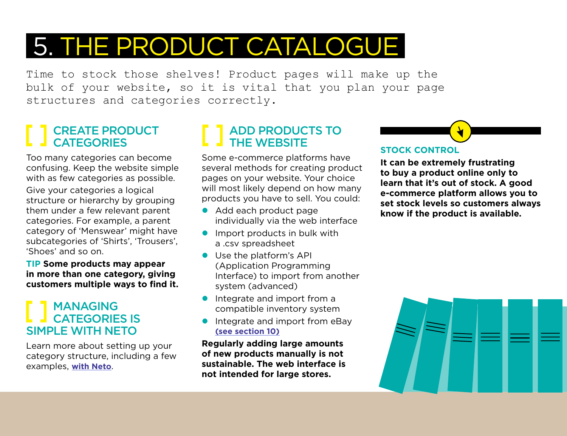# 5. THE PRODUCT CATALOGUE

Time to stock those shelves! Product pages will make up the bulk of your website, so it is vital that you plan your page structures and categories correctly.

# CREATE PRODUCT **CATEGORIES**

Too many categories can become confusing. Keep the website simple with as few categories as possible.

Give your categories a logical structure or hierarchy by grouping them under a few relevant parent categories. For example, a parent category of 'Menswear' might have subcategories of 'Shirts', 'Trousers', 'Shoes' and so on.

**TIP Some products may appear in more than one category, giving customers multiple ways to find it.**

### MANAGING CATEGORIES IS SIMPLE WITH NETO

Learn more about setting up your category structure, including a few examples, **[with Neto](https://www.neto.com.au/product-categories/?tel=y)**.

# **ADD PRODUCTS TO** THE WEBSITE

Some e-commerce platforms have several methods for creating product pages on your website. Your choice will most likely depend on how many products you have to sell. You could:

- Add each product page individually via the web interface
- $\bullet$  Import products in bulk with a .csv spreadsheet
- **Use the platform's API** (Application Programming Interface) to import from another system (advanced)
- $\bullet$  Integrate and import from a compatible inventory system
- $\bullet$  Integrate and import from eBay **[\(see section 10\)](#page-12-0)**

**Regularly adding large amounts of new products manually is not sustainable. The web interface is not intended for large stores.**

# **STOCK CONTROL**

**It can be extremely frustrating to buy a product online only to learn that it's out of stock. A good e-commerce platform allows you to set stock levels so customers always know if the product is available.**

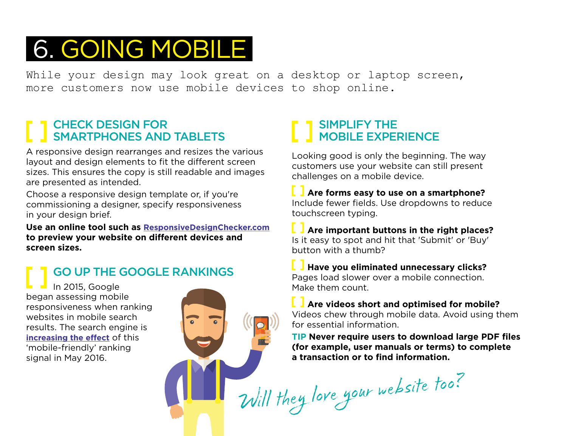# 6. GOING MOBILE

While your design may look great on a desktop or laptop screen, more customers now use mobile devices to shop online.

# CHECK DESIGN FOR SMARTPHONES AND TABLETS

A responsive design rearranges and resizes the various layout and design elements to fit the different screen sizes. This ensures the copy is still readable and images are presented as intended.

Choose a responsive design template or, if you're commissioning a designer, specify responsiveness in your design brief.

**Use an online tool such as [ResponsiveDesignChecker.com](http://responsivedesignchecker.com/) to preview your website on different devices and screen sizes.** 

GO UP THE GOOGLE RANKINGS

In 2015, Google began assessing mobile responsiveness when ranking websites in mobile search results. The search engine is **[increasing the effect](https://webmasters.googleblog.com/2016/03/continuing-to-make-web-more-mobile.html)** of this 'mobile-friendly' ranking signal in May 2016.



# SIMPLIFY THE **MOBILE EXPERIENCE**

Looking good is only the beginning. The way customers use your website can still present challenges on a mobile device.

**Are forms easy to use on a smartphone?**  Include fewer fields. Use dropdowns to reduce touchscreen typing.

**Are important buttons in the right places?** Is it easy to spot and hit that 'Submit' or 'Buy' button with a thumb?

**Have you eliminated unnecessary clicks?**  Pages load slower over a mobile connection. Make them count.

**L** I Are videos short and optimised for mobile? Videos chew through mobile data. Avoid using them for essential information.

**TIP Never require users to download large PDF files (for example, user manuals or terms) to complete a transaction or to find information.**

Will they love your website too?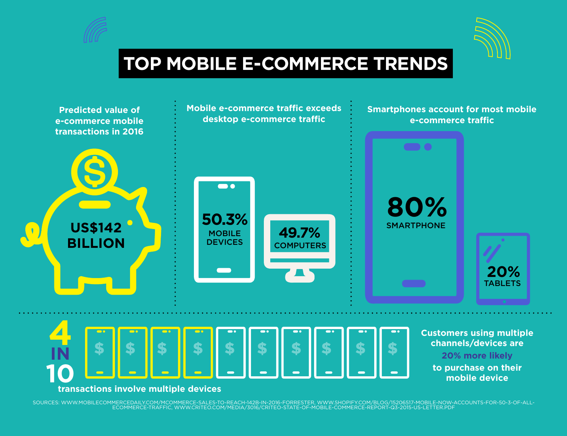



# **TOP MOBILE E-COMMERCE TRENDS**



-[SOURCES:](http://www.statista.com/statistics/412103/online-retail-categories-popular-region-purchase) [WWW.MOBILECOMMERCEDAILY.COM/MCOMMERCE-SALES-TO-REACH-142B-IN-2016-FORRESTER](http://www.mobilecommercedaily.com/mcommerce-sales-to-reach-142b-in-2016-forrester), WWW.SHOPIFY.COM/BLOG/15206517-MOBILE-NOW-ACCOUNTS-FOR-50-3-OF-ALL<br>[ECOMMERCE-TRAFFIC,](https://www.shopify.com/blog/15206517-mobile-now-accounts-for-50-3-of-all-ecommerce-traffic) WWW.CRITEO.COM/MEDIA/3016/CRITEO-STATE-OF-MOBILE-C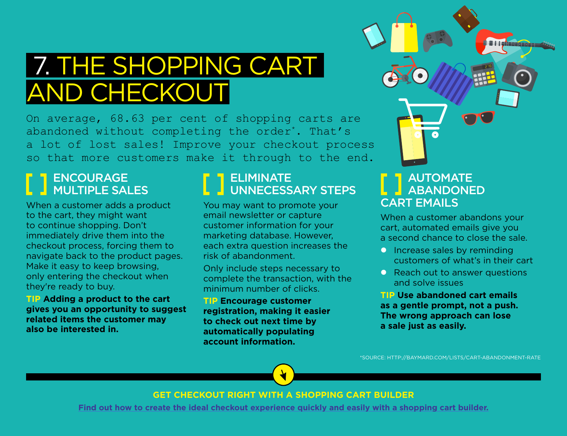# 7. THE SHOPPING CART AND CHECKOUT

On average, 68.63 per cent of shopping carts are abandoned without completing the order\*. That's a lot of lost sales! Improve your checkout process so that more customers make it through to the end.

# ENCOURAGE **MULTIPLE SALES**

When a customer adds a product to the cart, they might want to continue shopping. Don't immediately drive them into the checkout process, forcing them to navigate back to the product pages. Make it easy to keep browsing, only entering the checkout when they're ready to buy.

**TIP Adding a product to the cart gives you an opportunity to suggest related items the customer may also be interested in.**

# ELIMINATE UNNECESSARY STEPS

You may want to promote your email newsletter or capture customer information for your marketing database. However, each extra question increases the risk of abandonment.

Only include steps necessary to complete the transaction, with the minimum number of clicks.

**TIP Encourage customer registration, making it easier to check out next time by automatically populating account information.**

# AUTOMATE **ABANDONED** CART EMAILS

0

When a customer abandons your cart, automated emails give you a second chance to close the sale.

8 | | gibnangaraha

- $\bullet$  Increase sales by reminding customers of what's in their cart
- **Reach out to answer questions** and solve issues

**TIP Use abandoned cart emails as a gentle prompt, not a push. The wrong approach can lose a sale just as easily.**

[\\*SOURCE: HTTP://BAYMARD.COM/LISTS/CART-ABANDONMENT-RATE](http://baymard.com/lists/cart-abandonment-rate)

#### **GET CHECKOUT RIGHT WITH A SHOPPING CART BUILDER**

**[Find out how to create the ideal checkout experience quickly and easily with a shopping cart builder.](https://www.neto.com.au/build-a-shopping-cart?tel=y)**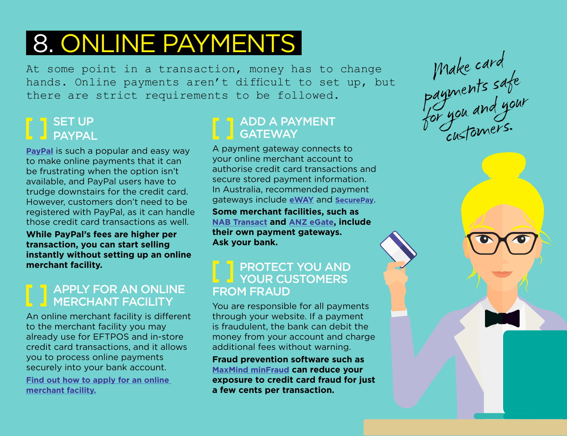# 8. ONLINE PAYMENTS

At some point in a transaction, money has to change hands. Online payments aren't difficult to set up, but there are strict requirements to be followed.

# SET UP PAYPAL

**[PayPal](https://www.paypal.com/au/webapps/mpp/home)** is such a popular and easy way to make online payments that it can be frustrating when the option isn't available, and PayPal users have to trudge downstairs for the credit card. However, customers don't need to be registered with PayPal, as it can handle those credit card transactions as well.

**While PayPal's fees are higher per transaction, you can start selling instantly without setting up an online merchant facility.**

# **APPLY FOR AN ONLINE** MERCHANT FACILITY

An online merchant facility is different to the merchant facility you may already use for EFTPOS and in-store credit card transactions, and it allows you to process online payments securely into your bank account. **[Find out how to apply for an online](https://www.neto.com.au/a/payment-processing/260?tel=y)  [merchant facility.](https://www.neto.com.au/a/payment-processing/260?tel=y)**

# ADD A PAYMENT **GATEWAY**

A payment gateway connects to your online merchant account to authorise credit card transactions and secure stored payment information. In Australia, recommended payment gateways include **[eWAY](https://www.eway.com.au/)** and **[SecurePay](https://www.securepay.com.au/)**.

**Some merchant facilities, such as [NAB Transact](http://www.nab.com.au/business/payments-and-merchants/ecommerce-and-online/nab-transact?own_cid=shortURL:nabtransact) and [ANZ eGate](https://www.anz.com/small-business/products-services/merchant-services/internet-payment-solutions/egate/), include their own payment gateways. Ask your bank.**

### **PROTECT YOU AND THE YOUR CUSTOMERS** FROM FRAUD

You are responsible for all payments through your website. If a payment is fraudulent, the bank can debit the money from your account and charge additional fees without warning.

**Fraud prevention software such as [MaxMind minFraud](https://www.maxmind.com/en/minfraud-services) can reduce your exposure to credit card fraud for just a few cents per transaction.**

Make card payments safe for you and your customers.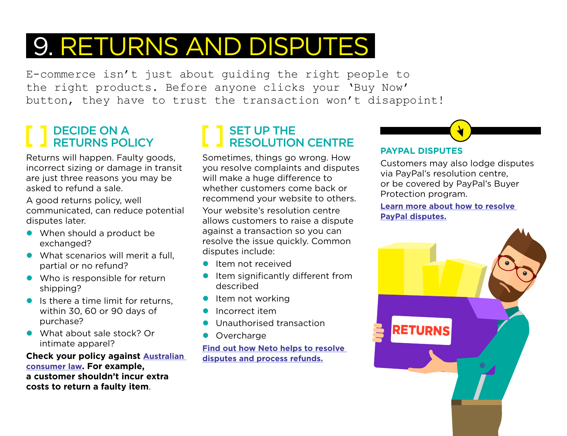# 9. RETURNS AND DISPUTES

E-commerce isn't just about guiding the right people to the right products. Before anyone clicks your 'Buy Now' button, they have to trust the transaction won't disappoint!

# DECIDE ON A RETURNS POLICY

Returns will happen. Faulty goods, incorrect sizing or damage in transit are just three reasons you may be asked to refund a sale.

A good returns policy, well communicated, can reduce potential disputes later.

- $\bullet$  When should a product be exchanged?
- $\bullet$  What scenarios will merit a full. partial or no refund?
- $\bullet$  Who is responsible for return shipping?
- $\bullet$  Is there a time limit for returns, within 30, 60 or 90 days of purchase?
- What about sale stock? Or intimate apparel?

**Check your policy against [Australian](https://www.communications.gov.au/what-we-do/internet/digital-business/blog/e-commerce-and-law)  [consumer law.](https://www.communications.gov.au/what-we-do/internet/digital-business/blog/e-commerce-and-law) For example, a customer shouldn't incur extra costs to return a faulty item**.

# SET UP THE RESOLUTION CENTRE

Sometimes, things go wrong. How you resolve complaints and disputes will make a huge difference to whether customers come back or recommend your website to others.

Your website's resolution centre allows customers to raise a dispute against a transaction so you can resolve the issue quickly. Common disputes include:

- $\bullet$  Item not received
- Item significantly different from described
- $\bullet$  Item not working
- l Incorrect item
- l Unauthorised transaction
- **Overcharge**

**[Find out how Neto helps to resolve](https://www.neto.com.au/what-is-a-customer-dispute?tel=y)  [disputes and process refunds.](https://www.neto.com.au/what-is-a-customer-dispute?tel=y)**

### **PAYPAL DISPUTES**

Customers may also lodge disputes via PayPal's resolution centre, or be covered by PayPal's Buyer Protection program.

**[Learn more about how to resolve](https://www.paypal.com/au/webapps/mpp/customer-concerns?locale.x=en_AU)  [PayPal disputes.](https://www.paypal.com/au/webapps/mpp/customer-concerns?locale.x=en_AU)**

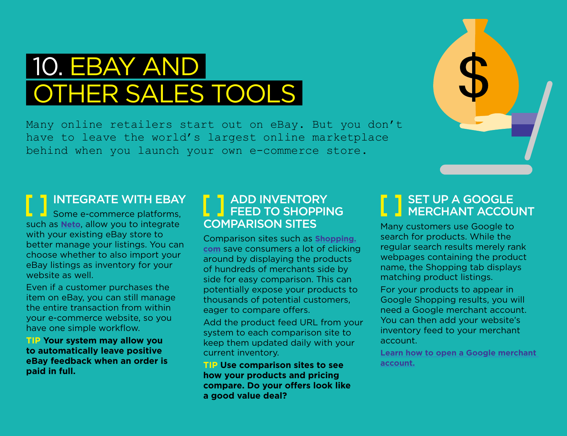# <span id="page-12-0"></span> 10. EBAY AND OTHER SALES TOOLS

Many online retailers start out on eBay. But you don't have to leave the world's largest online marketplace behind when you launch your own e-commerce store.

# INTEGRATE WITH EBAY

Some e-commerce platforms, such as **[Neto](https://www.telstra.com.au/digitalcommerce)**, allow you to integrate with your existing eBay store to better manage your listings. You can choose whether to also import your eBay listings as inventory for your website as well.

Even if a customer purchases the item on eBay, you can still manage the entire transaction from within your e-commerce website, so you have one simple workflow.

**TIP Your system may allow you to automatically leave positive eBay feedback when an order is paid in full.**

### ADD INVENTORY **L J FEED TO SHOPPING** COMPARISON SITES

Comparison sites such as **[Shopping.](http://au.shopping.com/?sb=1&ncrd=1&rpu=1) [com](http://au.shopping.com/?sb=1&ncrd=1&rpu=1)** save consumers a lot of clicking around by displaying the products of hundreds of merchants side by side for easy comparison. This can potentially expose your products to thousands of potential customers, eager to compare offers.

Add the product feed URL from your system to each comparison site to keep them updated daily with your current inventory.

**TIP Use comparison sites to see how your products and pricing compare. Do your offers look like a good value deal?**

### SET UP A GOOGLE MERCHANT ACCOUNT

Many customers use Google to search for products. While the regular search results merely rank webpages containing the product name, the Shopping tab displays matching product listings.

For your products to appear in Google Shopping results, you will need a Google merchant account. You can then add your website's inventory feed to your merchant account.

**[Learn how to open a Google merchant](https://www.google.com/retail/merchant-center/)  [account.](https://www.google.com/retail/merchant-center/)**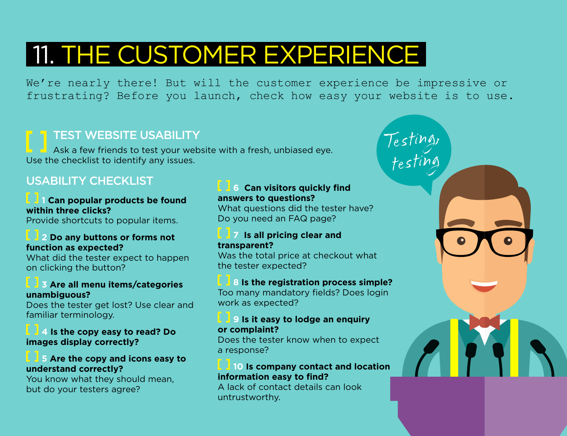# 11. THE CUSTOMER EXPERIENCE

We're nearly there! But will the customer experience be impressive or frustrating? Before you launch, check how easy your website is to use.

### TEST WEBSITE USABILITY

Ask a few friends to test your website with a fresh, unbiased eye. Use the checklist to identify any issues.

### USABILITY CHECKLIST

#### **1 Can popular products be found within three clicks?** Provide shortcuts to popular items.

#### **2 Do any buttons or forms not function as expected?**

What did the tester expect to happen on clicking the button?

#### **3 Are all menu items/categories unambiguous?**

Does the tester get lost? Use clear and familiar terminology.

#### **4 Is the copy easy to read? Do images display correctly?**

#### **5 Are the copy and icons easy to understand correctly?**

You know what they should mean, but do your testers agree?

#### **6 Can visitors quickly find answers to questions?**

What questions did the tester have? Do you need an FAQ page?

Testing,

testing

#### **7 Is all pricing clear and transparent?**

Was the total price at checkout what the tester expected?

#### **8 Is the registration process simple?**

Too many mandatory fields? Does login work as expected?

#### **9 Is it easy to lodge an enquiry or complaint?**

Does the tester know when to expect a response?

#### **10 Is company contact and location information easy to find?**

A lack of contact details can look untrustworthy.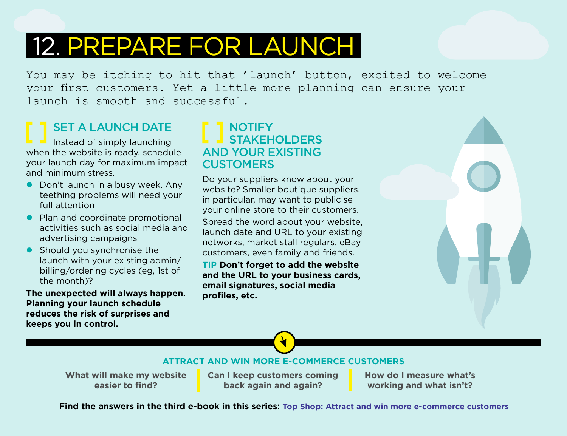# 12. PREPARE FOR LAUNCH

You may be itching to hit that 'launch' button, excited to welcome your first customers. Yet a little more planning can ensure your launch is smooth and successful.

### SET A LAUNCH DATE Instead of simply launching when the website is ready, schedule

your launch day for maximum impact and minimum stress.

- $\bullet$  Don't launch in a busy week. Any teething problems will need your full attention
- Plan and coordinate promotional activities such as social media and advertising campaigns
- $\bullet$  Should you synchronise the launch with your existing admin/ billing/ordering cycles (eg, 1st of the month)?

**The unexpected will always happen. Planning your launch schedule reduces the risk of surprises and keeps you in control.**

### **NOTIFY** STAKEHOLDERS AND YOUR EXISTING **CUSTOMERS**

Do your suppliers know about your website? Smaller boutique suppliers, in particular, may want to publicise your online store to their customers.

Spread the word about your website, launch date and URL to your existing networks, market stall regulars, eBay customers, even family and friends.

**TIP Don't forget to add the website and the URL to your business cards, email signatures, social media profiles, etc.** 



**ATTRACT AND WIN MORE E-COMMERCE CUSTOMERS**

**What will make my website easier to find?** 

**Can I keep customers coming back again and again?**

**How do I measure what's working and what isn't?**

**[Find the answers in the third e-book in this series: Top Shop: Attract and win more e-commerce customers](http://smarterbusiness.telstra.com.au/topshop)**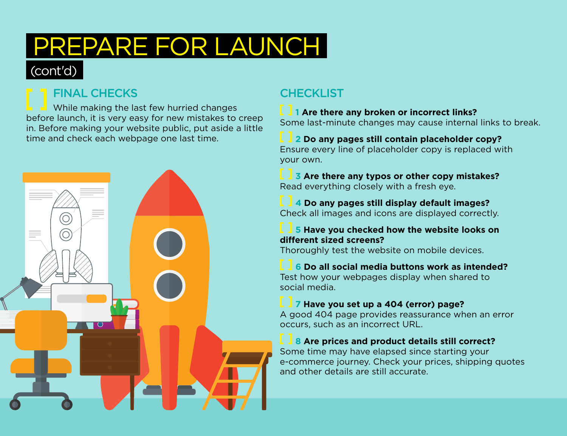# PREPARE FOR LAUNCH

# (cont'd)

# FINAL CHECKS

While making the last few hurried changes before launch, it is very easy for new mistakes to creep in. Before making your website public, put aside a little time and check each webpage one last time.



# **CHECKLIST**

### **1 Are there any broken or incorrect links?**

Some last-minute changes may cause internal links to break.

# **2 Do any pages still contain placeholder copy?**

Ensure every line of placeholder copy is replaced with your own.

**3 Are there any typos or other copy mistakes?**  Read everything closely with a fresh eye.

**4 Do any pages still display default images?**  Check all images and icons are displayed correctly.

#### **5 Have you checked how the website looks on different sized screens?**

Thoroughly test the website on mobile devices.

**6 Do all social media buttons work as intended?** Test how your webpages display when shared to social media.

### **7 Have you set up a 404 (error) page?**

A good 404 page provides reassurance when an error occurs, such as an incorrect URL.

### **8 Are prices and product details still correct?**

Some time may have elapsed since starting your e-commerce journey. Check your prices, shipping quotes and other details are still accurate.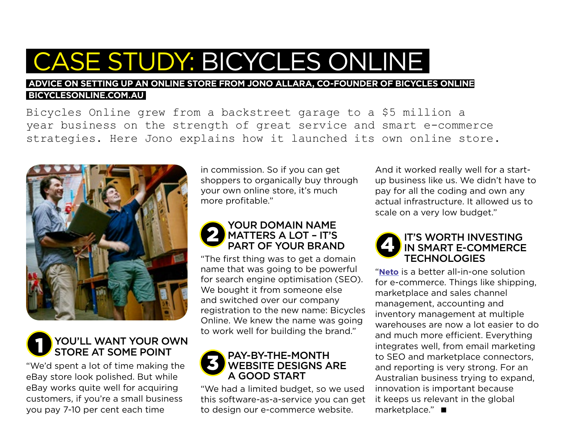# CASE STUDY: BICYCLES ONLINE

#### **ADVICE ON SETTING UP AN ONLINE STORE FROM JONO ALLARA, CO-FOUNDER OF BICYCLES ONLINE  [BICYCLESONLINE.COM.AU](https://www.bicyclesonline.com.au/)**

Bicycles Online grew from a backstreet garage to a \$5 million a year business on the strength of great service and smart e-commerce strategies. Here Jono explains how it launched its own online store.



#### YOU'LL WANT YOUR OWN STORE AT SOME POINT 1

"We'd spent a lot of time making the eBay store look polished. But while eBay works quite well for acquiring customers, if you're a small business you pay 7-10 per cent each time

in commission. So if you can get shoppers to organically buy through your own online store, it's much more profitable."

### YOUR DOMAIN NAME MATTERS A LOT – IT'S PART OF YOUR BRAND

"The first thing was to get a domain name that was going to be powerful for search engine optimisation (SEO). We bought it from someone else and switched over our company registration to the new name: Bicycles Online. We knew the name was going to work well for building the brand."

#### PAY-BY-THE-MONTH WEBSITE DESIGNS ARE A GOOD START 3

"We had a limited budget, so we used this software-as-a-service you can get to design our e-commerce website.

And it worked really well for a startup business like us. We didn't have to pay for all the coding and own any actual infrastructure. It allowed us to scale on a very low budget."

#### IT'S WORTH INVESTING IN SMART E-COMMERCE TECHNOLOGIES

"**[Neto](https://www.telstra.com.au/digitalcommerce)** is a better all-in-one solution for e-commerce. Things like shipping, marketplace and sales channel management, accounting and inventory management at multiple warehouses are now a lot easier to do and much more efficient. Everything integrates well, from email marketing to SEO and marketplace connectors, and reporting is very strong. For an Australian business trying to expand, innovation is important because it keeps us relevant in the global marketplace." ■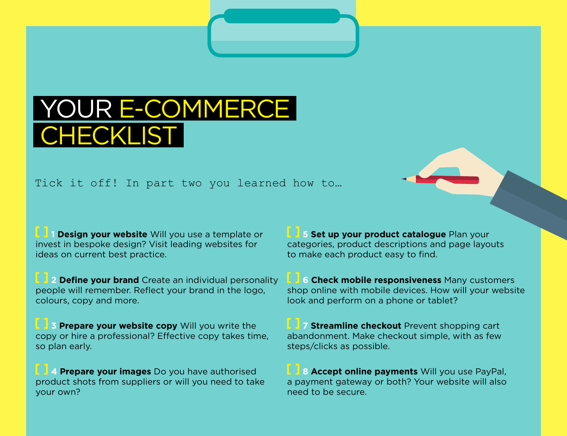# YOUR E-COMMERC CHECKL

Tick it off! In part two you learned how to…

**1 Design your website** Will you use a template or invest in bespoke design? Visit leading websites for ideas on current best practice.

**2 Define your brand** Create an individual personality people will remember. Reflect your brand in the logo, colours, copy and more.

**3 Prepare your website copy** Will you write the copy or hire a professional? Effective copy takes time, so plan early.

**4 Prepare your images** Do you have authorised product shots from suppliers or will you need to take your own?

**5 Set up your product catalogue Plan your** categories, product descriptions and page layouts to make each product easy to find.

**6 Check mobile responsiveness** Many customers shop online with mobile devices. How will your website look and perform on a phone or tablet?

**7 Streamline checkout** Prevent shopping cart abandonment. Make checkout simple, with as few steps/clicks as possible.

**8 Accept online payments** Will you use PayPal, a payment gateway or both? Your website will also need to be secure.